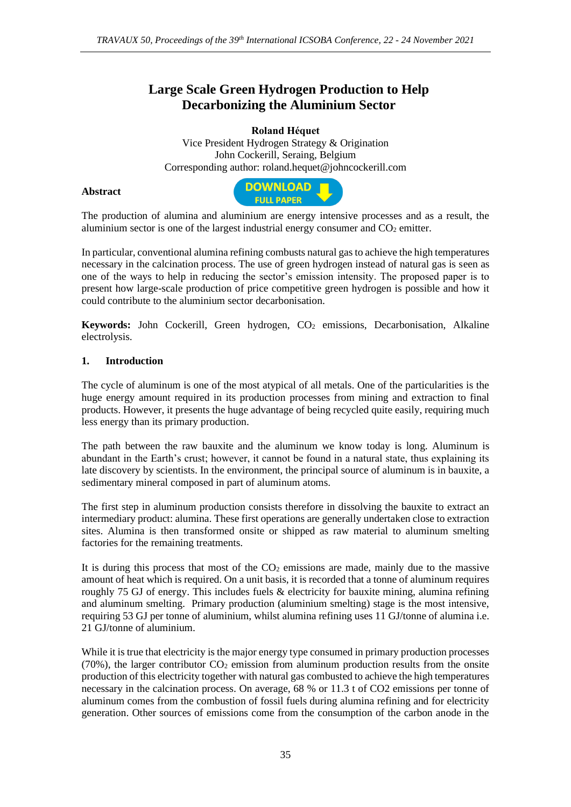## **Large Scale Green Hydrogen Production to Help Decarbonizing the Aluminium Sector**

**Roland Héquet** Vice President Hydrogen Strategy & Origination John Cockerill, Seraing, Belgium Corresponding author: roland.hequet@johncockerill.com

## **Abstract**



The production of alumina and aluminium are energy intensive processes and as a result, the aluminium sector is one of the largest industrial energy consumer and  $CO<sub>2</sub>$  emitter.

In particular, conventional alumina refining combusts natural gas to achieve the high temperatures necessary in the calcination process. The use of green hydrogen instead of natural gas is seen as one of the ways to help in reducing the sector's emission intensity. The proposed paper is to present how large-scale production of price competitive green hydrogen is possible and how it could contribute to the aluminium sector decarbonisation.

**Keywords:** John Cockerill, Green hydrogen, CO<sub>2</sub> emissions, Decarbonisation, Alkaline electrolysis.

## **1. Introduction**

The cycle of aluminum is one of the most atypical of all metals. One of the particularities is the huge energy amount required in its production processes from mining and extraction to final products. However, it presents the huge advantage of being recycled quite easily, requiring much less energy than its primary production.

The path between the raw bauxite and the aluminum we know today is long. Aluminum is abundant in the Earth's crust; however, it cannot be found in a natural state, thus explaining its late discovery by scientists. In the environment, the principal source of aluminum is in bauxite, a sedimentary mineral composed in part of aluminum atoms.

The first step in aluminum production consists therefore in dissolving the bauxite to extract an intermediary product: alumina. These first operations are generally undertaken close to extraction sites. Alumina is then transformed onsite or shipped as raw material to aluminum smelting factories for the remaining treatments.

It is during this process that most of the  $CO<sub>2</sub>$  emissions are made, mainly due to the massive amount of heat which is required. On a unit basis, it is recorded that a tonne of aluminum requires roughly 75 GJ of energy. This includes fuels & electricity for bauxite mining, alumina refining and aluminum smelting. Primary production (aluminium smelting) stage is the most intensive, requiring 53 GJ per tonne of aluminium, whilst alumina refining uses 11 GJ/tonne of alumina i.e. 21 GJ/tonne of aluminium.

While it is true that electricity is the major energy type consumed in primary production processes (70%), the larger contributor  $CO<sub>2</sub>$  emission from aluminum production results from the onsite production of this electricity together with natural gas combusted to achieve the high temperatures necessary in the calcination process. On average, 68 % or 11.3 t of CO2 emissions per tonne of aluminum comes from the combustion of fossil fuels during alumina refining and for electricity generation. Other sources of emissions come from the consumption of the carbon anode in the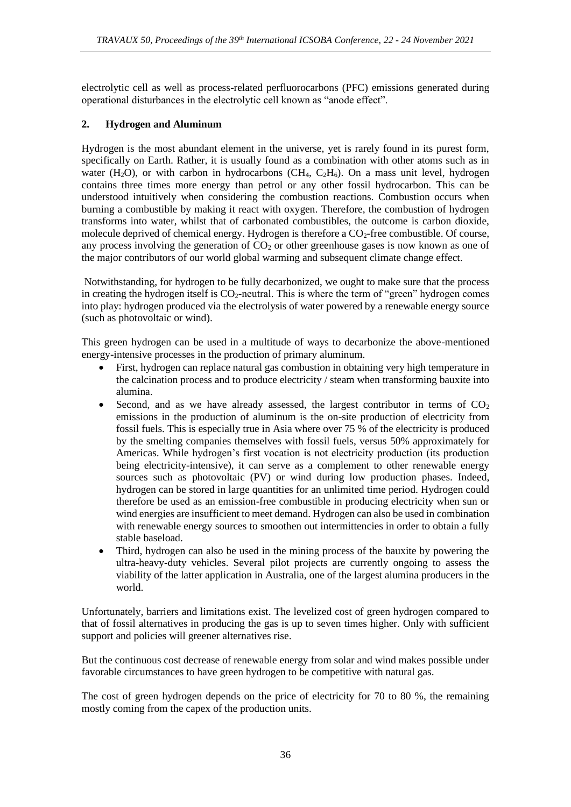electrolytic cell as well as process-related perfluorocarbons (PFC) emissions generated during operational disturbances in the electrolytic cell known as "anode effect".

## **2. Hydrogen and Aluminum**

Hydrogen is the most abundant element in the universe, yet is rarely found in its purest form, specifically on Earth. Rather, it is usually found as a combination with other atoms such as in water (H<sub>2</sub>O), or with carbon in hydrocarbons (CH<sub>4</sub>, C<sub>2</sub>H<sub>6</sub>). On a mass unit level, hydrogen contains three times more energy than petrol or any other fossil hydrocarbon. This can be understood intuitively when considering the combustion reactions. Combustion occurs when burning a combustible by making it react with oxygen. Therefore, the combustion of hydrogen transforms into water, whilst that of carbonated combustibles, the outcome is carbon dioxide, molecule deprived of chemical energy. Hydrogen is therefore a  $CO<sub>2</sub>$ -free combustible. Of course, any process involving the generation of  $CO<sub>2</sub>$  or other greenhouse gases is now known as one of the major contributors of our world global warming and subsequent climate change effect.

Notwithstanding, for hydrogen to be fully decarbonized, we ought to make sure that the process in creating the hydrogen itself is  $CO<sub>2</sub>$ -neutral. This is where the term of "green" hydrogen comes into play: hydrogen produced via the electrolysis of water powered by a renewable energy source (such as photovoltaic or wind).

This green hydrogen can be used in a multitude of ways to decarbonize the above-mentioned energy-intensive processes in the production of primary aluminum.

- First, hydrogen can replace natural gas combustion in obtaining very high temperature in the calcination process and to produce electricity / steam when transforming bauxite into alumina.
- Second, and as we have already assessed, the largest contributor in terms of  $CO<sub>2</sub>$ emissions in the production of aluminum is the on-site production of electricity from fossil fuels. This is especially true in Asia where over 75 % of the electricity is produced by the smelting companies themselves with fossil fuels, versus 50% approximately for Americas. While hydrogen's first vocation is not electricity production (its production being electricity-intensive), it can serve as a complement to other renewable energy sources such as photovoltaic (PV) or wind during low production phases. Indeed, hydrogen can be stored in large quantities for an unlimited time period. Hydrogen could therefore be used as an emission-free combustible in producing electricity when sun or wind energies are insufficient to meet demand. Hydrogen can also be used in combination with renewable energy sources to smoothen out intermittencies in order to obtain a fully stable baseload.
- Third, hydrogen can also be used in the mining process of the bauxite by powering the ultra-heavy-duty vehicles. Several pilot projects are currently ongoing to assess the viability of the latter application in Australia, one of the largest alumina producers in the world.

Unfortunately, barriers and limitations exist. The levelized cost of green hydrogen compared to that of fossil alternatives in producing the gas is up to seven times higher. Only with sufficient support and policies will greener alternatives rise.

But the continuous cost decrease of renewable energy from solar and wind makes possible under favorable circumstances to have green hydrogen to be competitive with natural gas.

The cost of green hydrogen depends on the price of electricity for 70 to 80 %, the remaining mostly coming from the capex of the production units.